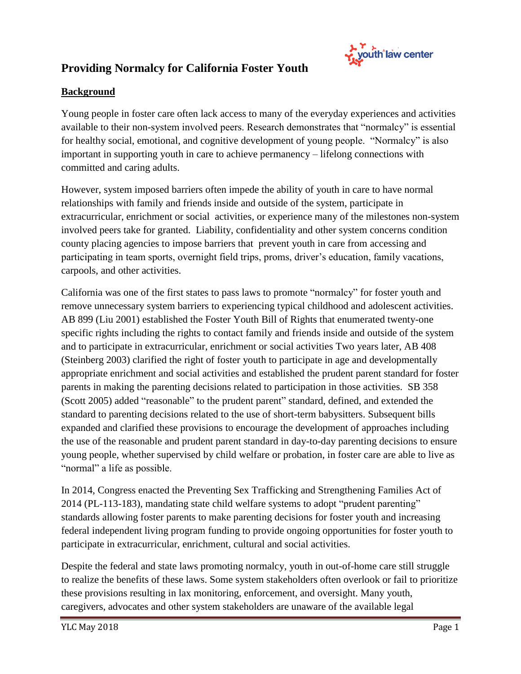

# **Providing Normalcy for California Foster Youth**

#### **Background**

Young people in foster care often lack access to many of the everyday experiences and activities available to their non-system involved peers. Research demonstrates that "normalcy" is essential for healthy social, emotional, and cognitive development of young people. "Normalcy" is also important in supporting youth in care to achieve permanency – lifelong connections with committed and caring adults.

However, system imposed barriers often impede the ability of youth in care to have normal relationships with family and friends inside and outside of the system, participate in extracurricular, enrichment or social activities, or experience many of the milestones non-system involved peers take for granted. Liability, confidentiality and other system concerns condition county placing agencies to impose barriers that prevent youth in care from accessing and participating in team sports, overnight field trips, proms, driver's education, family vacations, carpools, and other activities.

California was one of the first states to pass laws to promote "normalcy" for foster youth and remove unnecessary system barriers to experiencing typical childhood and adolescent activities. AB 899 (Liu 2001) established the Foster Youth Bill of Rights that enumerated twenty-one specific rights including the rights to contact family and friends inside and outside of the system and to participate in extracurricular, enrichment or social activities Two years later, AB 408 (Steinberg 2003) clarified the right of foster youth to participate in age and developmentally appropriate enrichment and social activities and established the prudent parent standard for foster parents in making the parenting decisions related to participation in those activities. SB 358 (Scott 2005) added "reasonable" to the prudent parent" standard, defined, and extended the standard to parenting decisions related to the use of short-term babysitters. Subsequent bills expanded and clarified these provisions to encourage the development of approaches including the use of the reasonable and prudent parent standard in day-to-day parenting decisions to ensure young people, whether supervised by child welfare or probation, in foster care are able to live as "normal" a life as possible.

In 2014, Congress enacted the Preventing Sex Trafficking and Strengthening Families Act of 2014 (PL-113-183), mandating state child welfare systems to adopt "prudent parenting" standards allowing foster parents to make parenting decisions for foster youth and increasing federal independent living program funding to provide ongoing opportunities for foster youth to participate in extracurricular, enrichment, cultural and social activities.

Despite the federal and state laws promoting normalcy, youth in out-of-home care still struggle to realize the benefits of these laws. Some system stakeholders often overlook or fail to prioritize these provisions resulting in lax monitoring, enforcement, and oversight. Many youth, caregivers, advocates and other system stakeholders are unaware of the available legal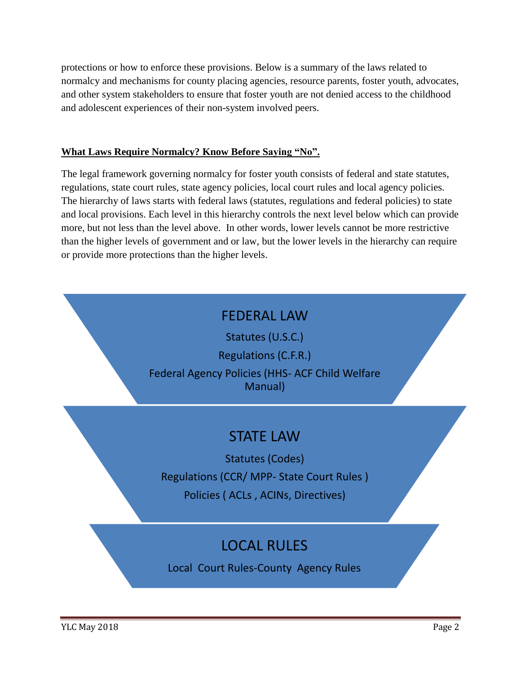protections or how to enforce these provisions. Below is a summary of the laws related to normalcy and mechanisms for county placing agencies, resource parents, foster youth, advocates, and other system stakeholders to ensure that foster youth are not denied access to the childhood and adolescent experiences of their non-system involved peers.

#### **What Laws Require Normalcy? Know Before Saying "No".**

The legal framework governing normalcy for foster youth consists of federal and state statutes, regulations, state court rules, state agency policies, local court rules and local agency policies. The hierarchy of laws starts with federal laws (statutes, regulations and federal policies) to state and local provisions. Each level in this hierarchy controls the next level below which can provide more, but not less than the level above. In other words, lower levels cannot be more restrictive than the higher levels of government and or law, but the lower levels in the hierarchy can require or provide more protections than the higher levels.

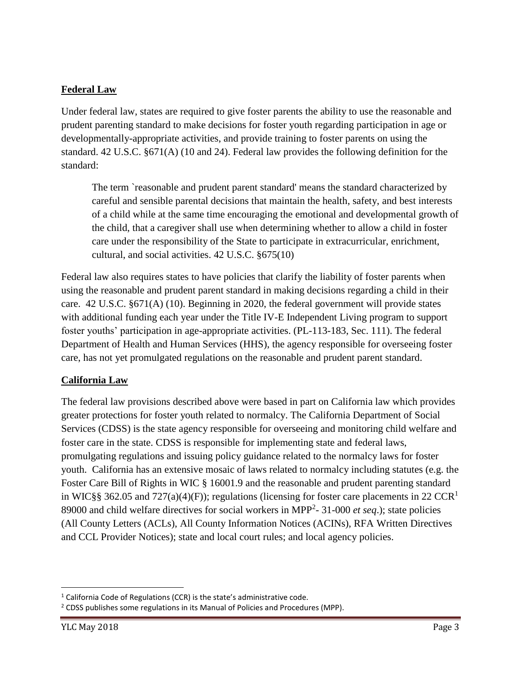### **Federal Law**

Under federal law, states are required to give foster parents the ability to use the reasonable and prudent parenting standard to make decisions for foster youth regarding participation in age or developmentally-appropriate activities, and provide training to foster parents on using the standard. 42 U.S.C. §671(A) (10 and 24). Federal law provides the following definition for the standard:

The term `reasonable and prudent parent standard' means the standard characterized by careful and sensible parental decisions that maintain the health, safety, and best interests of a child while at the same time encouraging the emotional and developmental growth of the child, that a caregiver shall use when determining whether to allow a child in foster care under the responsibility of the State to participate in extracurricular, enrichment, cultural, and social activities. 42 U.S.C. §675(10)

Federal law also requires states to have policies that clarify the liability of foster parents when using the reasonable and prudent parent standard in making decisions regarding a child in their care. 42 U.S.C. §671(A) (10). Beginning in 2020, the federal government will provide states with additional funding each year under the Title IV-E Independent Living program to support foster youths' participation in age-appropriate activities. (PL-113-183, Sec. 111). The federal Department of Health and Human Services (HHS), the agency responsible for overseeing foster care, has not yet promulgated regulations on the reasonable and prudent parent standard.

#### **California Law**

The federal law provisions described above were based in part on California law which provides greater protections for foster youth related to normalcy. The California Department of Social Services (CDSS) is the state agency responsible for overseeing and monitoring child welfare and foster care in the state. CDSS is responsible for implementing state and federal laws, promulgating regulations and issuing policy guidance related to the normalcy laws for foster youth. California has an extensive mosaic of laws related to normalcy including statutes (e.g. the Foster Care Bill of Rights in WIC § 16001.9 and the reasonable and prudent parenting standard in WIC§§ 362.05 and 727(a)(4)(F)); regulations (licensing for foster care placements in 22 CCR<sup>1</sup> 89000 and child welfare directives for social workers in MPP<sup>2</sup>- 31-000 *et seq*.); state policies (All County Letters (ACLs), All County Information Notices (ACINs), RFA Written Directives and CCL Provider Notices); state and local court rules; and local agency policies.

l  $1$  California Code of Regulations (CCR) is the state's administrative code.

<sup>&</sup>lt;sup>2</sup> CDSS publishes some regulations in its Manual of Policies and Procedures (MPP).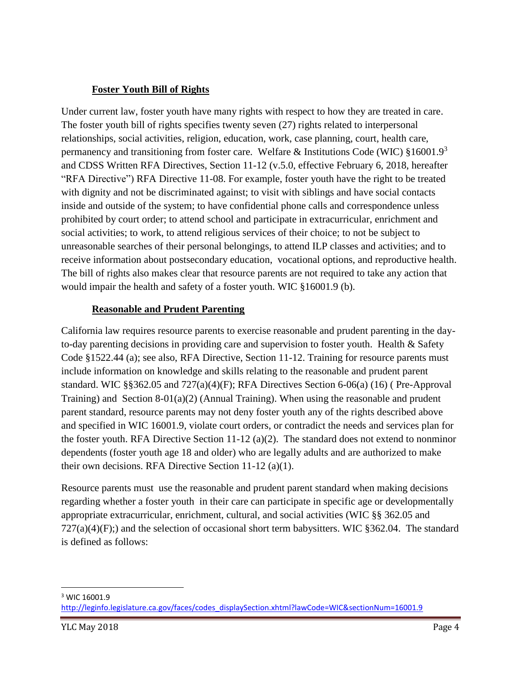### **Foster Youth Bill of Rights**

Under current law, foster youth have many rights with respect to how they are treated in care. The foster youth bill of rights specifies twenty seven (27) rights related to interpersonal relationships, social activities, religion, education, work, case planning, court, health care, permanency and transitioning from foster care. Welfare & Institutions Code (WIC)  $\S16001.9^3$ and CDSS Written RFA Directives, Section 11-12 (v.5.0, effective February 6, 2018, hereafter "RFA Directive") RFA Directive 11-08. For example, foster youth have the right to be treated with dignity and not be discriminated against; to visit with siblings and have social contacts inside and outside of the system; to have confidential phone calls and correspondence unless prohibited by court order; to attend school and participate in extracurricular, enrichment and social activities; to work, to attend religious services of their choice; to not be subject to unreasonable searches of their personal belongings, to attend ILP classes and activities; and to receive information about postsecondary education, vocational options, and reproductive health. The bill of rights also makes clear that resource parents are not required to take any action that would impair the health and safety of a foster youth. WIC §16001.9 (b).

#### **Reasonable and Prudent Parenting**

California law requires resource parents to exercise reasonable and prudent parenting in the dayto-day parenting decisions in providing care and supervision to foster youth. Health & Safety Code §1522.44 (a); see also, RFA Directive, Section 11-12. Training for resource parents must include information on knowledge and skills relating to the reasonable and prudent parent standard. WIC §§362.05 and 727(a)(4)(F); RFA Directives Section 6-06(a) (16) ( Pre-Approval Training) and Section  $8-01(a)(2)$  (Annual Training). When using the reasonable and prudent parent standard, resource parents may not deny foster youth any of the rights described above and specified in WIC 16001.9, violate court orders, or contradict the needs and services plan for the foster youth. RFA Directive Section 11-12 (a)(2). The standard does not extend to nonminor dependents (foster youth age 18 and older) who are legally adults and are authorized to make their own decisions. RFA Directive Section 11-12 (a)(1).

Resource parents must use the reasonable and prudent parent standard when making decisions regarding whether a foster youth in their care can participate in specific age or developmentally appropriate extracurricular, enrichment, cultural, and social activities (WIC §§ 362.05 and  $727(a)(4)(F)$ ;) and the selection of occasional short term babysitters. WIC §362.04. The standard is defined as follows:

l <sup>3</sup> WIC 16001.9

[http://leginfo.legislature.ca.gov/faces/codes\\_displaySection.xhtml?lawCode=WIC&sectionNum=16001.9](http://leginfo.legislature.ca.gov/faces/codes_displaySection.xhtml?lawCode=WIC§ionNum=16001.9)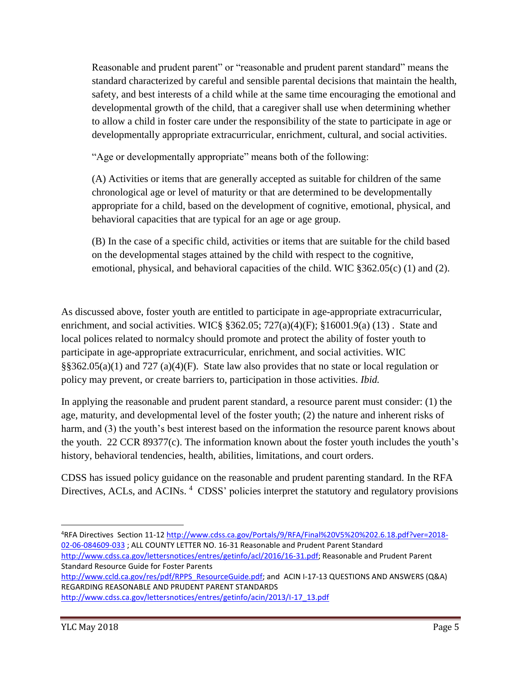Reasonable and prudent parent" or "reasonable and prudent parent standard" means the standard characterized by careful and sensible parental decisions that maintain the health, safety, and best interests of a child while at the same time encouraging the emotional and developmental growth of the child, that a caregiver shall use when determining whether to allow a child in foster care under the responsibility of the state to participate in age or developmentally appropriate extracurricular, enrichment, cultural, and social activities.

"Age or developmentally appropriate" means both of the following:

(A) Activities or items that are generally accepted as suitable for children of the same chronological age or level of maturity or that are determined to be developmentally appropriate for a child, based on the development of cognitive, emotional, physical, and behavioral capacities that are typical for an age or age group.

(B) In the case of a specific child, activities or items that are suitable for the child based on the developmental stages attained by the child with respect to the cognitive, emotional, physical, and behavioral capacities of the child. WIC §362.05(c) (1) and (2).

As discussed above, foster youth are entitled to participate in age-appropriate extracurricular, enrichment, and social activities. WIC§ §362.05; 727(a)(4)(F); §16001.9(a) (13). State and local polices related to normalcy should promote and protect the ability of foster youth to participate in age-appropriate extracurricular, enrichment, and social activities. WIC §§362.05(a)(1) and 727 (a)(4)(F). State law also provides that no state or local regulation or policy may prevent, or create barriers to, participation in those activities. *Ibid.*

In applying the reasonable and prudent parent standard, a resource parent must consider: (1) the age, maturity, and developmental level of the foster youth; (2) the nature and inherent risks of harm, and (3) the youth's best interest based on the information the resource parent knows about the youth. 22 CCR 89377(c). The information known about the foster youth includes the youth's history, behavioral tendencies, health, abilities, limitations, and court orders.

CDSS has issued policy guidance on the reasonable and prudent parenting standard. In the RFA Directives, ACLs, and ACINs.<sup>4</sup> CDSS' policies interpret the statutory and regulatory provisions

 $\overline{\phantom{a}}$ 

<sup>4</sup>RFA Directives Section 11-12 [http://www.cdss.ca.gov/Portals/9/RFA/Final%20V5%20%202.6.18.pdf?ver=2018-](http://www.cdss.ca.gov/Portals/9/RFA/Final%20V5%20%202.6.18.pdf?ver=2018-02-06-084609-033) [02-06-084609-033](http://www.cdss.ca.gov/Portals/9/RFA/Final%20V5%20%202.6.18.pdf?ver=2018-02-06-084609-033) ; ALL COUNTY LETTER NO. 16-31 Reasonable and Prudent Parent Standard [http://www.cdss.ca.gov/lettersnotices/entres/getinfo/acl/2016/16-31.pdf;](http://www.cdss.ca.gov/lettersnotices/entres/getinfo/acl/2016/16-31.pdf) Reasonable and Prudent Parent Standard Resource Guide for Foster Parents

[http://www.ccld.ca.gov/res/pdf/RPPS\\_ResourceGuide.pdf;](http://www.ccld.ca.gov/res/pdf/RPPS_ResourceGuide.pdf) and ACIN I-17-13 QUESTIONS AND ANSWERS (Q&A) REGARDING REASONABLE AND PRUDENT PARENT STANDARDS

[http://www.cdss.ca.gov/lettersnotices/entres/getinfo/acin/2013/I-17\\_13.pdf](http://www.cdss.ca.gov/lettersnotices/entres/getinfo/acin/2013/I-17_13.pdf)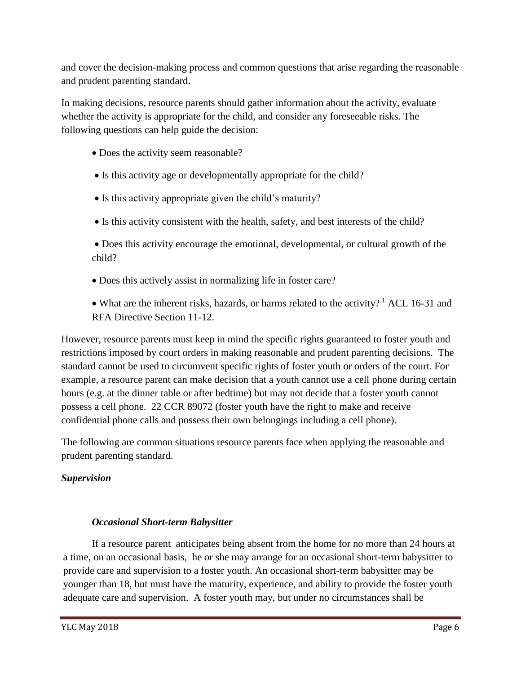and cover the decision-making process and common questions that arise regarding the reasonable and prudent parenting standard.

In making decisions, resource parents should gather information about the activity, evaluate whether the activity is appropriate for the child, and consider any foreseeable risks. The following questions can help guide the decision:

- Does the activity seem reasonable?
- Is this activity age or developmentally appropriate for the child?
- Is this activity appropriate given the child's maturity?
- Is this activity consistent with the health, safety, and best interests of the child?

 Does this activity encourage the emotional, developmental, or cultural growth of the child?

Does this actively assist in normalizing life in foster care?

• What are the inherent risks, hazards, or harms related to the activity?<sup>1</sup> ACL 16-31 and RFA Directive Section 11-12.

However, resource parents must keep in mind the specific rights guaranteed to foster youth and restrictions imposed by court orders in making reasonable and prudent parenting decisions. The standard cannot be used to circumvent specific rights of foster youth or orders of the court. For example, a resource parent can make decision that a youth cannot use a cell phone during certain hours (e.g. at the dinner table or after bedtime) but may not decide that a foster youth cannot possess a cell phone. 22 CCR 89072 (foster youth have the right to make and receive confidential phone calls and possess their own belongings including a cell phone).

The following are common situations resource parents face when applying the reasonable and prudent parenting standard.

# *Supervision*

### *Occasional Short-term Babysitter*

If a resource parent anticipates being absent from the home for no more than 24 hours at a time, on an occasional basis, he or she may arrange for an occasional short-term babysitter to provide care and supervision to a foster youth. An occasional short-term babysitter may be younger than 18, but must have the maturity, experience, and ability to provide the foster youth adequate care and supervision. A foster youth may, but under no circumstances shall be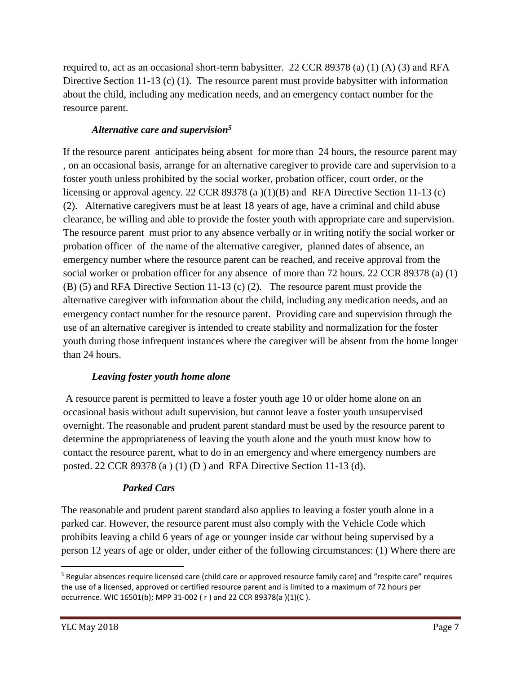required to, act as an occasional short-term babysitter. 22 CCR 89378 (a) (1) (A) (3) and RFA Directive Section 11-13 (c) (1). The resource parent must provide babysitter with information about the child, including any medication needs, and an emergency contact number for the resource parent.

### *Alternative care and supervision<sup>5</sup>*

If the resource parent anticipates being absent for more than 24 hours, the resource parent may , on an occasional basis, arrange for an alternative caregiver to provide care and supervision to a foster youth unless prohibited by the social worker, probation officer, court order, or the licensing or approval agency. 22 CCR 89378 (a )(1)(B) and RFA Directive Section 11-13 (c) (2). Alternative caregivers must be at least 18 years of age, have a criminal and child abuse clearance, be willing and able to provide the foster youth with appropriate care and supervision. The resource parent must prior to any absence verbally or in writing notify the social worker or probation officer of the name of the alternative caregiver, planned dates of absence, an emergency number where the resource parent can be reached, and receive approval from the social worker or probation officer for any absence of more than 72 hours. 22 CCR 89378 (a) (1) (B) (5) and RFA Directive Section 11-13 (c) (2). The resource parent must provide the alternative caregiver with information about the child, including any medication needs, and an emergency contact number for the resource parent. Providing care and supervision through the use of an alternative caregiver is intended to create stability and normalization for the foster youth during those infrequent instances where the caregiver will be absent from the home longer than 24 hours.

### *Leaving foster youth home alone*

A resource parent is permitted to leave a foster youth age 10 or older home alone on an occasional basis without adult supervision, but cannot leave a foster youth unsupervised overnight. The reasonable and prudent parent standard must be used by the resource parent to determine the appropriateness of leaving the youth alone and the youth must know how to contact the resource parent, what to do in an emergency and where emergency numbers are posted. 22 CCR 89378 (a ) (1) (D ) and RFA Directive Section 11-13 (d).

### *Parked Cars*

The reasonable and prudent parent standard also applies to leaving a foster youth alone in a parked car. However, the resource parent must also comply with the Vehicle Code which prohibits leaving a child 6 years of age or younger inside car without being supervised by a person 12 years of age or older, under either of the following circumstances: (1) Where there are

 $\overline{a}$ 

<sup>&</sup>lt;sup>5</sup> Regular absences require licensed care (child care or approved resource family care) and "respite care" requires the use of a licensed, approved or certified resource parent and is limited to a maximum of 72 hours per occurrence. WIC 16501(b); MPP 31-002 ( r ) and 22 CCR 89378(a )(1)(C ).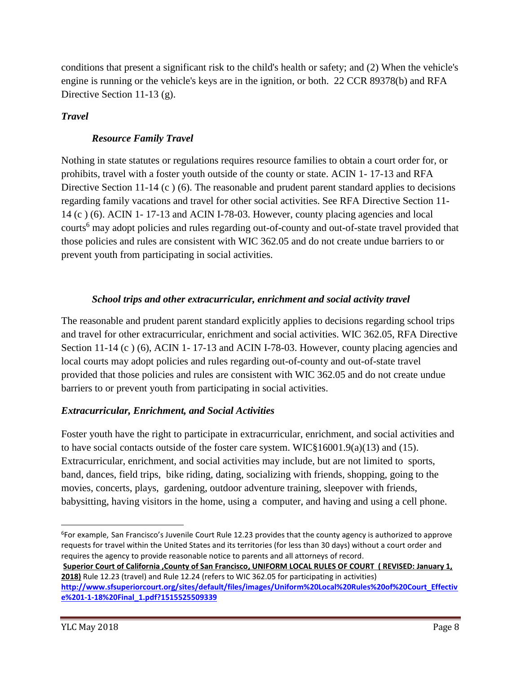conditions that present a significant risk to the child's health or safety; and (2) When the vehicle's engine is running or the vehicle's keys are in the ignition, or both. 22 CCR 89378(b) and RFA Directive Section 11-13 (g).

### *Travel*

# *Resource Family Travel*

Nothing in state statutes or regulations requires resource families to obtain a court order for, or prohibits, travel with a foster youth outside of the county or state. ACIN 1- 17-13 and RFA Directive Section 11-14 (c) (6). The reasonable and prudent parent standard applies to decisions regarding family vacations and travel for other social activities. See RFA Directive Section 11- 14 (c ) (6). ACIN 1- 17-13 and ACIN I-78-03. However, county placing agencies and local courts <sup>6</sup> may adopt policies and rules regarding out-of-county and out-of-state travel provided that those policies and rules are consistent with WIC 362.05 and do not create undue barriers to or prevent youth from participating in social activities.

# *School trips and other extracurricular, enrichment and social activity travel*

The reasonable and prudent parent standard explicitly applies to decisions regarding school trips and travel for other extracurricular, enrichment and social activities. WIC 362.05, RFA Directive Section 11-14 (c) (6), ACIN 1-17-13 and ACIN I-78-03. However, county placing agencies and local courts may adopt policies and rules regarding out-of-county and out-of-state travel provided that those policies and rules are consistent with WIC 362.05 and do not create undue barriers to or prevent youth from participating in social activities.

# *Extracurricular, Enrichment, and Social Activities*

Foster youth have the right to participate in extracurricular, enrichment, and social activities and to have social contacts outside of the foster care system. WIC§16001.9(a)(13) and (15). Extracurricular, enrichment, and social activities may include, but are not limited to sports, band, dances, field trips, bike riding, dating, socializing with friends, shopping, going to the movies, concerts, plays, gardening, outdoor adventure training, sleepover with friends, babysitting, having visitors in the home, using a computer, and having and using a cell phone.

**Superior Court of California ,County of San Francisco, UNIFORM LOCAL RULES OF COURT ( REVISED: January 1, 2018)** Rule 12.23 (travel) and Rule 12.24 (refers to WIC 362.05 for participating in activities) **[http://www.sfsuperiorcourt.org/sites/default/files/images/Uniform%20Local%20Rules%20of%20Court\\_Effectiv](http://www.sfsuperiorcourt.org/sites/default/files/images/Uniform%20Local%20Rules%20of%20Court_Effective%201-1-18%20Final_1.pdf?1515525509339)**

 $\overline{\phantom{a}}$ 6 For example, San Francisco's Juvenile Court Rule 12.23 provides that the county agency is authorized to approve requests for travel within the United States and its territories (for less than 30 days) without a court order and requires the agency to provide reasonable notice to parents and all attorneys of record.

**[e%201-1-18%20Final\\_1.pdf?1515525509339](http://www.sfsuperiorcourt.org/sites/default/files/images/Uniform%20Local%20Rules%20of%20Court_Effective%201-1-18%20Final_1.pdf?1515525509339)**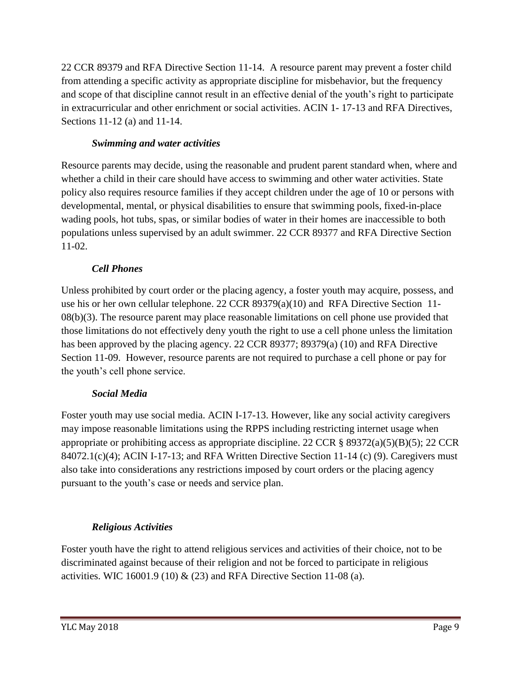22 CCR 89379 and RFA Directive Section 11-14. A resource parent may prevent a foster child from attending a specific activity as appropriate discipline for misbehavior, but the frequency and scope of that discipline cannot result in an effective denial of the youth's right to participate in extracurricular and other enrichment or social activities. ACIN 1- 17-13 and RFA Directives, Sections 11-12 (a) and 11-14.

### *Swimming and water activities*

Resource parents may decide, using the reasonable and prudent parent standard when, where and whether a child in their care should have access to swimming and other water activities. State policy also requires resource families if they accept children under the age of 10 or persons with developmental, mental, or physical disabilities to ensure that swimming pools, fixed-in-place wading pools, hot tubs, spas, or similar bodies of water in their homes are inaccessible to both populations unless supervised by an adult swimmer. 22 CCR 89377 and RFA Directive Section 11-02.

#### *Cell Phones*

Unless prohibited by court order or the placing agency, a foster youth may acquire, possess, and use his or her own cellular telephone. 22 CCR 89379(a)(10) and RFA Directive Section 11- 08(b)(3). The resource parent may place reasonable limitations on cell phone use provided that those limitations do not effectively deny youth the right to use a cell phone unless the limitation has been approved by the placing agency. 22 CCR 89377; 89379(a) (10) and RFA Directive Section 11-09. However, resource parents are not required to purchase a cell phone or pay for the youth's cell phone service.

### *Social Media*

Foster youth may use social media. ACIN I-17-13. However, like any social activity caregivers may impose reasonable limitations using the RPPS including restricting internet usage when appropriate or prohibiting access as appropriate discipline. 22 CCR  $\S$  89372(a)(5)(B)(5); 22 CCR  $84072.1(c)(4)$ ; ACIN I-17-13; and RFA Written Directive Section 11-14 (c) (9). Caregivers must also take into considerations any restrictions imposed by court orders or the placing agency pursuant to the youth's case or needs and service plan.

### *Religious Activities*

Foster youth have the right to attend religious services and activities of their choice, not to be discriminated against because of their religion and not be forced to participate in religious activities. WIC 16001.9 (10)  $\&$  (23) and RFA Directive Section 11-08 (a).